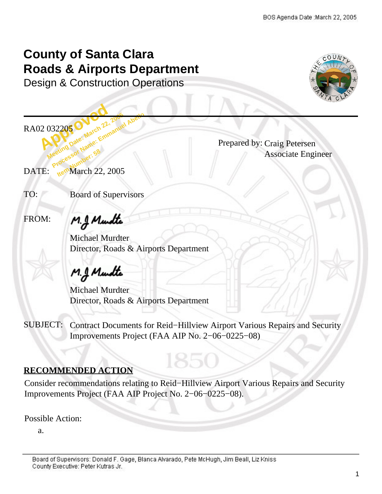## **County of Santa Clara Roads & Airports Department**

Design & Construction Operations



2 032205 O March 22, 032205 O March 22, 2005<br>Meeting Date: March 22, 2006<br>Meeting Date: Marne: Emmanue **Processor Name: Emmanuel Abello**<br>**Processor Name: Emmanuel Abello**<br>Reeting Date: Mame: Emmanuel Abello RA02 032205 .

Prepared by: Craig Petersen Associate Engineer

Meeting Section Number: 58<br>DATE: Processor Number: 58<br>DATE: Me<sup>ro</sup> March 22, 2005

TO: Board of Supervisors

FROM:

M.J. Mundte

Michael Murdter Director, Roads & Airports Department

# M.J. Mundte

Michael Murdter Director, Roads & Airports Department

SUBJECT: Contract Documents for Reid−Hillview Airport Various Repairs and Security Improvements Project (FAA AIP No. 2−06−0225−08)

## **RECOMMENDED ACTION**

Consider recommendations relating to Reid−Hillview Airport Various Repairs and Security Improvements Project (FAA AIP Project No. 2−06−0225−08).

1850

Possible Action:

a.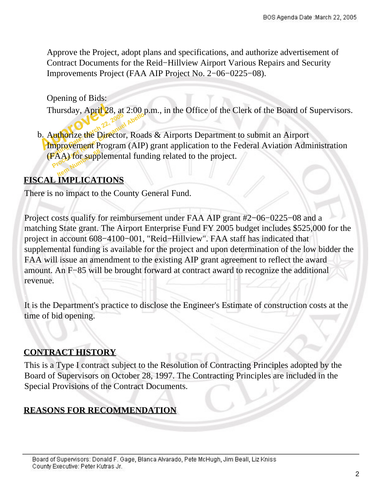Approve the Project, adopt plans and specifications, and authorize advertisement of Contract Documents for the Reid−Hillview Airport Various Repairs and Security Improvements Project (FAA AIP Project No. 2−06−0225−08).

Opening of Bids:

Thursday, April 28, at 2:00 p.m., in the Office of the Clerk of the Board of Supervisors.

Thursday, April 28<br>b. Authorize the Director **Authorize the Director, Road**<br> **Authorize the Director, Road**<br> **Processor Supplemental function IFAA) for supplemental funding related to the project.** b. Authorize the Director, Roads & Airports Department to submit an Airport Improvement Program (AIP) grant application to the Federal Aviation Administration

## **FISCAL IMPLICATIONS**

There is no impact to the County General Fund.

Project costs qualify for reimbursement under FAA AIP grant #2−06−0225−08 and a matching State grant. The Airport Enterprise Fund FY 2005 budget includes \$525,000 for the project in account 608−4100−001, "Reid−Hillview". FAA staff has indicated that supplemental funding is available for the project and upon determination of the low bidder the FAA will issue an amendment to the existing AIP grant agreement to reflect the award amount. An F−85 will be brought forward at contract award to recognize the additional revenue.

It is the Department's practice to disclose the Engineer's Estimate of construction costs at the time of bid opening.

## **CONTRACT HISTORY**

This is a Type I contract subject to the Resolution of Contracting Principles adopted by the Board of Supervisors on October 28, 1997. The Contracting Principles are included in the Special Provisions of the Contract Documents.

## **REASONS FOR RECOMMENDATION**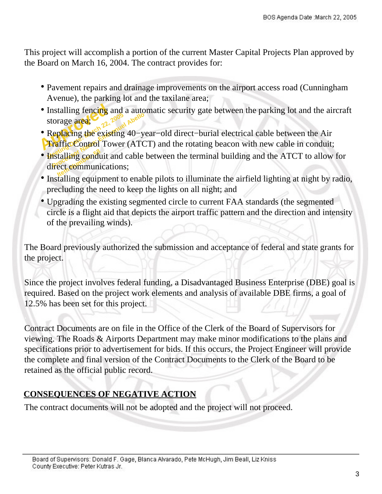This project will accomplish a portion of the current Master Capital Projects Plan approved by the Board on March 16, 2004. The contract provides for:

- Pavement repairs and drainage improvements on the airport access road (Cunningham Avenue), the parking lot and the taxilane area;
- Installing fencing<br>storage area;<br> **Replacing the exis<br>Fraffic Control** To • Installing fencing and a automatic security gate between the parking lot and the aircraft storage area;
- storage area;<br>Replacing the existing<br>Traffic Control Tower From the existing 40-y<br> **Processor Abello**<br> **Processor Name: Emmanuel Abello**<br> **Processor Name: Emmanuel Abello**<br> **Processor Communications** • Replacing the existing 40−year−old direct−burial electrical cable between the Air **Traffic Control Tower (ATCT) and the rotating beacon with new cable in conduit;**
- Installing conduit and cable between the terminal building and the ATCT to allow for direct communications; direct communications:
- Installing equipment to enable pilots to illuminate the airfield lighting at night by radio, precluding the need to keep the lights on all night; and
- Upgrading the existing segmented circle to current FAA standards (the segmented circle is a flight aid that depicts the airport traffic pattern and the direction and intensity of the prevailing winds).

The Board previously authorized the submission and acceptance of federal and state grants for the project.

Since the project involves federal funding, a Disadvantaged Business Enterprise (DBE) goal is required. Based on the project work elements and analysis of available DBE firms, a goal of 12.5% has been set for this project.

Contract Documents are on file in the Office of the Clerk of the Board of Supervisors for viewing. The Roads & Airports Department may make minor modifications to the plans and specifications prior to advertisement for bids. If this occurs, the Project Engineer will provide the complete and final version of the Contract Documents to the Clerk of the Board to be retained as the official public record.

## **CONSEQUENCES OF NEGATIVE ACTION**

The contract documents will not be adopted and the project will not proceed.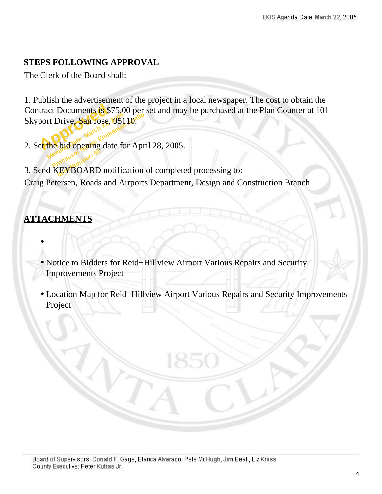## **STEPS FOLLOWING APPROVAL**

The Clerk of the Board shall:

tract Documents is \$<br>port Drive, San Jose,<br>et the big opening da rt Drive, San Fose, 951 10<sup>eN6</sup><br>
the hid opening date for Apr<br>
Meethid opening date for Apr 1. Publish the advertisement of the project in a local newspaper. The cost to obtain the Contract Documents is \$75.00 per set and may be purchased at the Plan Counter at 101 Skyport Drive, San Jose, 95110.

2. Set the bid opening date for April 28, 2005.

**INDERED AND ADDERED ASSESS**<br>3. Send KEYBOARD notification of completed processing to: Craig Petersen, Roads and Airports Department, Design and Construction Branch

## **ATTACHMENTS**

•

- Notice to Bidders for Reid−Hillview Airport Various Repairs and Security Improvements Project
- Location Map for Reid−Hillview Airport Various Repairs and Security Improvements Project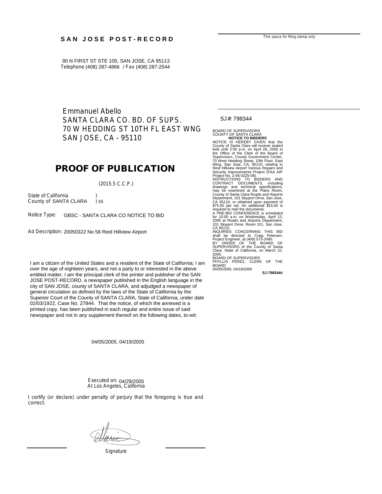#### SAN JOSE POST-RECORD

90 N FIRST ST STE 100, SAN JOSE, CA 95113 Telephone (408) 287-4866 / Fax (408) 287-2544

> Emmanuel Abello SANTA CLARA CO. BD. OF SUPS. 70 W HEDDING ST 10TH FL EAST WNG SAN JOSE, CA - 95110

#### **PROOF OF PUBLICATION**

(2015.5 C.C.P.)

State of California County of SANTA CLARA ) ss

Notice Type: GBSC - SANTA CLARA CO NOTICE TO BID

Ad Description: 20050322 No 58 Reid Hillview Airport

I am a citizen of the United States and a resident of the State of California; I am I am a citizen of the United States and a resident of the State of California; I am over the age of eighteen years, and not a party to or interested in the above entitled matter. I am the principal clerk of the printer and publisher of the SAN JOSE POST-RECORD, a newspaper published in the English language in the city of SAN JOSE, county of SANTA CLARA, and adjudged a newspaper of general circulation as defined by the laws of the State of California by the Superior Court of the County of SANTA CLARA, State of California, under date 02/03/1922, Case No. 27844. That the notice, of which the annexed is a printed copy, has been published in each regular and entire issue of said any supplement thereof on the following dates, to-wit: newspaper and not in any supplement thereof on the following dates, to-wit:

04/05/2005, 04/19/2005

Executed on: 04/29/2005 At Los Angeles, California

I certify (or declare) under penalty of perjury that the foregoing is true and correct.

**Signature** 

SJ#: 798344

BOARD OF SUPERVISORS COUNTY OF SANTA CLARA<br>
NOTICE IS HEREBY GIVEN that the<br>
County of Santa Clara will receive sealed<br>
County of Santa Clara will receive sealed<br>
bids until 2:00 p.m. on April 28, 2005 in<br>
the Office of the Clerk of the Board 2005 at Roads and Airports Department, 101 Skyport Drive, Room 101, San Jose, CA 95110. INQUIRIES CONCERNING THIS BID<br>shall be directed to Craig Petersen,<br>BY ORDER OF THE BOARD OF<br>SV ORDER OF THE BOARD OF<br>SUPERVISORS of the County of Santa<br>Clara, State of California, on March 22, 2005. BOARD OF SUPERVISORS PHYLLIS PEREZ, CLERK OF THE BOARD 04/05/2005, 04/19/2005

**SJ-798344#**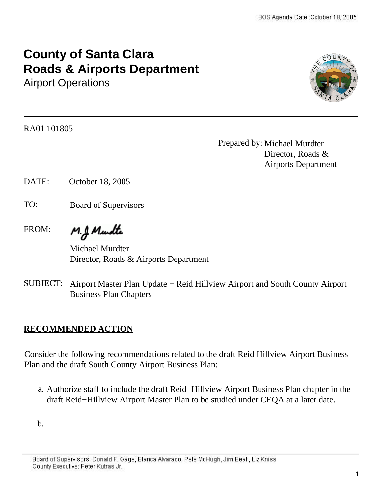## **County of Santa Clara Roads & Airports Department**

Airport Operations



RA01 101805 .

Prepared by: Michael Murdter Director, Roads & Airports Department

DATE: October 18, 2005

- TO: Board of Supervisors
- M.J. Mundte FROM:

Michael Murdter Director, Roads & Airports Department

SUBJECT: Airport Master Plan Update − Reid Hillview Airport and South County Airport Business Plan Chapters

## **RECOMMENDED ACTION**

Consider the following recommendations related to the draft Reid Hillview Airport Business Plan and the draft South County Airport Business Plan:

a. Authorize staff to include the draft Reid−Hillview Airport Business Plan chapter in the draft Reid−Hillview Airport Master Plan to be studied under CEQA at a later date.

b.

Board of Supervisors: Donald F. Gage, Blanca Alvarado, Pete McHugh, Jim Beall, Liz Kniss County Executive: Peter Kutras Jr.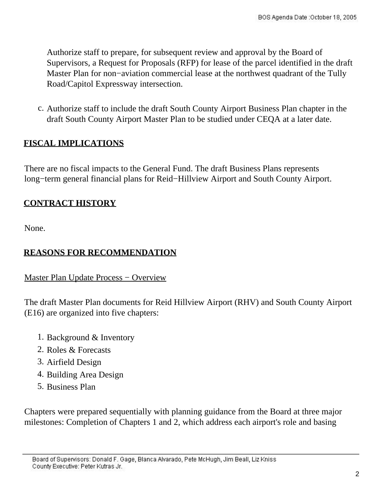Authorize staff to prepare, for subsequent review and approval by the Board of Supervisors, a Request for Proposals (RFP) for lease of the parcel identified in the draft Master Plan for non−aviation commercial lease at the northwest quadrant of the Tully Road/Capitol Expressway intersection.

c. Authorize staff to include the draft South County Airport Business Plan chapter in the draft South County Airport Master Plan to be studied under CEQA at a later date.

## **FISCAL IMPLICATIONS**

There are no fiscal impacts to the General Fund. The draft Business Plans represents long−term general financial plans for Reid−Hillview Airport and South County Airport.

## **CONTRACT HISTORY**

None.

## **REASONS FOR RECOMMENDATION**

Master Plan Update Process – Overview

The draft Master Plan documents for Reid Hillview Airport (RHV) and South County Airport (E16) are organized into five chapters:

- 1. Background & Inventory
- 2. Roles & Forecasts
- 3. Airfield Design
- 4. Building Area Design
- 5. Business Plan

Chapters were prepared sequentially with planning guidance from the Board at three major milestones: Completion of Chapters 1 and 2, which address each airport's role and basing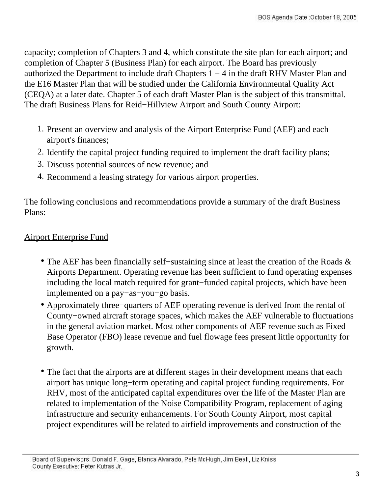capacity; completion of Chapters 3 and 4, which constitute the site plan for each airport; and completion of Chapter 5 (Business Plan) for each airport. The Board has previously authorized the Department to include draft Chapters 1 − 4 in the draft RHV Master Plan and the E16 Master Plan that will be studied under the California Environmental Quality Act (CEQA) at a later date. Chapter 5 of each draft Master Plan is the subject of this transmittal. The draft Business Plans for Reid−Hillview Airport and South County Airport:

- 1. Present an overview and analysis of the Airport Enterprise Fund (AEF) and each airport's finances;
- 2. Identify the capital project funding required to implement the draft facility plans;
- 3. Discuss potential sources of new revenue; and
- 4. Recommend a leasing strategy for various airport properties.

The following conclusions and recommendations provide a summary of the draft Business Plans:

## Airport Enterprise Fund

- The AEF has been financially self−sustaining since at least the creation of the Roads & Airports Department. Operating revenue has been sufficient to fund operating expenses including the local match required for grant−funded capital projects, which have been implemented on a pay−as−you−go basis.
- Approximately three−quarters of AEF operating revenue is derived from the rental of County−owned aircraft storage spaces, which makes the AEF vulnerable to fluctuations in the general aviation market. Most other components of AEF revenue such as Fixed Base Operator (FBO) lease revenue and fuel flowage fees present little opportunity for growth.
- The fact that the airports are at different stages in their development means that each airport has unique long−term operating and capital project funding requirements. For RHV, most of the anticipated capital expenditures over the life of the Master Plan are related to implementation of the Noise Compatibility Program, replacement of aging infrastructure and security enhancements. For South County Airport, most capital project expenditures will be related to airfield improvements and construction of the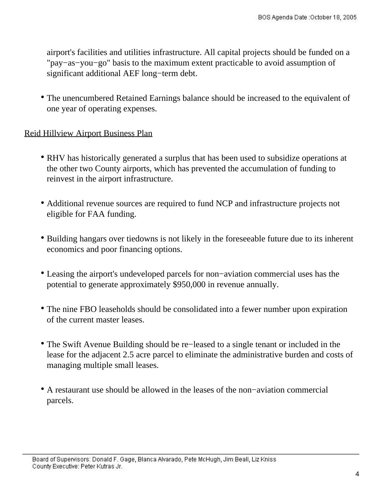airport's facilities and utilities infrastructure. All capital projects should be funded on a "pay−as−you−go" basis to the maximum extent practicable to avoid assumption of significant additional AEF long−term debt.

• The unencumbered Retained Earnings balance should be increased to the equivalent of one year of operating expenses.

### Reid Hillview Airport Business Plan

- RHV has historically generated a surplus that has been used to subsidize operations at the other two County airports, which has prevented the accumulation of funding to reinvest in the airport infrastructure.
- Additional revenue sources are required to fund NCP and infrastructure projects not eligible for FAA funding.
- Building hangars over tiedowns is not likely in the foreseeable future due to its inherent economics and poor financing options.
- Leasing the airport's undeveloped parcels for non−aviation commercial uses has the potential to generate approximately \$950,000 in revenue annually.
- The nine FBO leaseholds should be consolidated into a fewer number upon expiration of the current master leases.
- The Swift Avenue Building should be re−leased to a single tenant or included in the lease for the adjacent 2.5 acre parcel to eliminate the administrative burden and costs of managing multiple small leases.
- A restaurant use should be allowed in the leases of the non−aviation commercial parcels.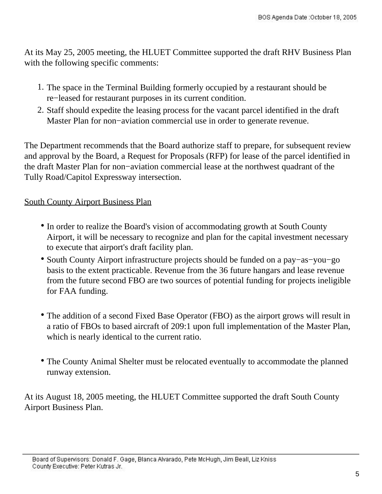At its May 25, 2005 meeting, the HLUET Committee supported the draft RHV Business Plan with the following specific comments:

- 1. The space in the Terminal Building formerly occupied by a restaurant should be re−leased for restaurant purposes in its current condition.
- 2. Staff should expedite the leasing process for the vacant parcel identified in the draft Master Plan for non−aviation commercial use in order to generate revenue.

The Department recommends that the Board authorize staff to prepare, for subsequent review and approval by the Board, a Request for Proposals (RFP) for lease of the parcel identified in the draft Master Plan for non−aviation commercial lease at the northwest quadrant of the Tully Road/Capitol Expressway intersection.

## South County Airport Business Plan

- In order to realize the Board's vision of accommodating growth at South County Airport, it will be necessary to recognize and plan for the capital investment necessary to execute that airport's draft facility plan.
- South County Airport infrastructure projects should be funded on a pay−as−you−go basis to the extent practicable. Revenue from the 36 future hangars and lease revenue from the future second FBO are two sources of potential funding for projects ineligible for FAA funding.
- The addition of a second Fixed Base Operator (FBO) as the airport grows will result in a ratio of FBOs to based aircraft of 209:1 upon full implementation of the Master Plan, which is nearly identical to the current ratio.
- The County Animal Shelter must be relocated eventually to accommodate the planned runway extension.

At its August 18, 2005 meeting, the HLUET Committee supported the draft South County Airport Business Plan.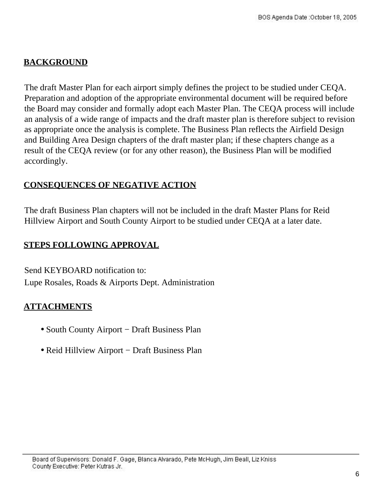## **BACKGROUND**

The draft Master Plan for each airport simply defines the project to be studied under CEQA. Preparation and adoption of the appropriate environmental document will be required before the Board may consider and formally adopt each Master Plan. The CEQA process will include an analysis of a wide range of impacts and the draft master plan is therefore subject to revision as appropriate once the analysis is complete. The Business Plan reflects the Airfield Design and Building Area Design chapters of the draft master plan; if these chapters change as a result of the CEQA review (or for any other reason), the Business Plan will be modified accordingly.

## **CONSEQUENCES OF NEGATIVE ACTION**

The draft Business Plan chapters will not be included in the draft Master Plans for Reid Hillview Airport and South County Airport to be studied under CEQA at a later date.

## **STEPS FOLLOWING APPROVAL**

Send KEYBOARD notification to: Lupe Rosales, Roads & Airports Dept. Administration

## **ATTACHMENTS**

- South County Airport − Draft Business Plan
- Reid Hillview Airport − Draft Business Plan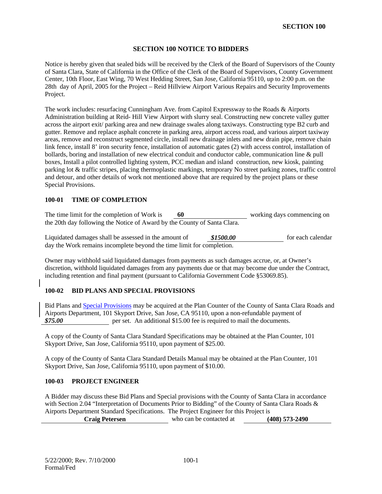#### **SECTION 100 NOTICE TO BIDDERS**

Notice is hereby given that sealed bids will be received by the Clerk of the Board of Supervisors of the County of Santa Clara, State of California in the Office of the Clerk of the Board of Supervisors, County Government Center, 10th Floor, East Wing, 70 West Hedding Street, San Jose, California 95110, up to 2:00 p.m. on the 28th day of April, 2005 for the Project – Reid Hillview Airport Various Repairs and Security Improvements Project.

The work includes: resurfacing Cunningham Ave. from Capitol Expressway to the Roads & Airports Administration building at Reid- Hill View Airport with slurry seal. Constructing new concrete valley gutter across the airport exit/ parking area and new drainage swales along taxiways. Constructing type B2 curb and gutter. Remove and replace asphalt concrete in parking area, airport access road, and various airport taxiway areas, remove and reconstruct segmented circle, install new drainage inlets and new drain pipe, remove chain link fence, install 8' iron security fence, installation of automatic gates (2) with access control, installation of bollards, boring and installation of new electrical conduit and conductor cable, communication line & pull boxes, Install a pilot controlled lighting system, PCC median and island construction, new kiosk, painting parking lot & traffic stripes, placing thermoplastic markings, temporary No street parking zones, traffic control and detour, and other details of work not mentioned above that are required by the project plans or these Special Provisions.

#### **100-01 TIME OF COMPLETION**

The time limit for the completion of Work is **60** working days commencing on the 20th day following the Notice of Award by the County of Santa Clara.

Liquidated damages shall be assessed in the amount of **\$1500.00** for each calendar day the Work remains incomplete beyond the time limit for completion.

Owner may withhold said liquidated damages from payments as such damages accrue, or, at Owner's discretion, withhold liquidated damages from any payments due or that may become due under the Contract, including retention and final payment (pursuant to California Government Code §53069.85).

#### **100-02 BID PLANS AND SPECIAL PROVISIONS**

Bid Plans and Special Provisions may be acquired at the Plan Counter of the County of Santa Clara Roads and Airports Department, 101 Skyport Drive, San Jose, CA 95110, upon a non-refundable payment of **\$75.00 per set.** An additional \$15.00 fee is required to mail the documents.

A copy of the County of Santa Clara Standard Specifications may be obtained at the Plan Counter, 101 Skyport Drive, San Jose, California 95110, upon payment of \$25.00.

A copy of the County of Santa Clara Standard Details Manual may be obtained at the Plan Counter, 101 Skyport Drive, San Jose, California 95110, upon payment of \$10.00.

#### **100-03 PROJECT ENGINEER**

A Bidder may discuss these Bid Plans and Special provisions with the County of Santa Clara in accordance with Section 2.04 "Interpretation of Documents Prior to Bidding" of the County of Santa Clara Roads & Airports Department Standard Specifications. The Project Engineer for this Project is **Craig Petersen** who can be contacted at **(408) 573-2490**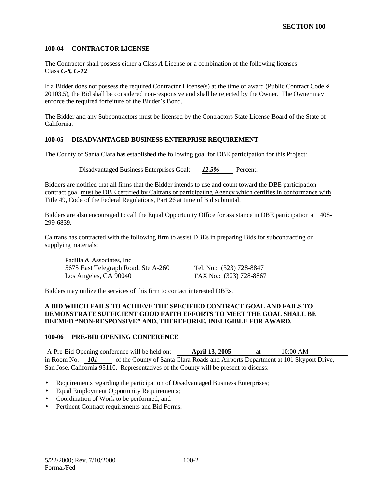#### **100-04 CONTRACTOR LICENSE**

The Contractor shall possess either a Class *A* License or a combination of the following licenses Class *C-8, C-12*

If a Bidder does not possess the required Contractor License(s) at the time of award (Public Contract Code *§*  20103.5), the Bid shall be considered non-responsive and shall be rejected by the Owner. The Owner may enforce the required forfeiture of the Bidder's Bond.

The Bidder and any Subcontractors must be licensed by the Contractors State License Board of the State of California.

#### **100-05 DISADVANTAGED BUSINESS ENTERPRISE REQUIREMENT**

The County of Santa Clara has established the following goal for DBE participation for this Project:

Disadvantaged Business Enterprises Goal: *12.5%* Percent.

Bidders are notified that all firms that the Bidder intends to use and count toward the DBE participation contract goal must be DBE certified by Caltrans or participating Agency which certifies in conformance with Title 49, Code of the Federal Regulations, Part 26 at time of Bid submittal.

Bidders are also encouraged to call the Equal Opportunity Office for assistance in DBE participation at 408- 299-6839.

Caltrans has contracted with the following firm to assist DBEs in preparing Bids for subcontracting or supplying materials:

Padilla & Associates, Inc 5675 East Telegraph Road, Ste A-260 Tel. No.: (323) 728-8847 Los Angeles, CA 90040 FAX No.: (323) 728-8867

Bidders may utilize the services of this firm to contact interested DBEs.

#### **A BID WHICH FAILS TO ACHIEVE THE SPECIFIED CONTRACT GOAL AND FAILS TO DEMONSTRATE SUFFICIENT GOOD FAITH EFFORTS TO MEET THE GOAL SHALL BE DEEMED "NON-RESPONSIVE" AND, THEREFOREE. INELIGIBLE FOR AWARD.**

#### **100-06 PRE-BID OPENING CONFERENCE**

A Pre-Bid Opening conference will be held on: **April 13, 2005** at 10:00 AM in Room No. *101* of the County of Santa Clara Roads and Airports Department at 101 Skyport Drive, San Jose, California 95110. Representatives of the County will be present to discuss:

- Requirements regarding the participation of Disadvantaged Business Enterprises;
- Equal Employment Opportunity Requirements;
- Coordination of Work to be performed; and
- Pertinent Contract requirements and Bid Forms.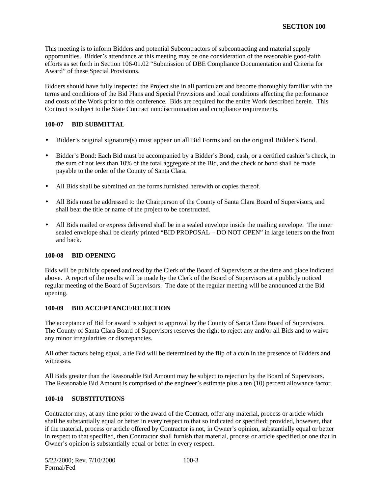This meeting is to inform Bidders and potential Subcontractors of subcontracting and material supply opportunities. Bidder's attendance at this meeting may be one consideration of the reasonable good-faith efforts as set forth in Section 106-01.02 "Submission of DBE Compliance Documentation and Criteria for Award" of these Special Provisions.

Bidders should have fully inspected the Project site in all particulars and become thoroughly familiar with the terms and conditions of the Bid Plans and Special Provisions and local conditions affecting the performance and costs of the Work prior to this conference. Bids are required for the entire Work described herein. This Contract is subject to the State Contract nondiscrimination and compliance requirements.

#### **100-07 BID SUBMITTAL**

- Bidder's original signature(s) must appear on all Bid Forms and on the original Bidder's Bond.
- Bidder's Bond: Each Bid must be accompanied by a Bidder's Bond, cash, or a certified cashier's check, in the sum of not less than 10% of the total aggregate of the Bid, and the check or bond shall be made payable to the order of the County of Santa Clara.
- All Bids shall be submitted on the forms furnished herewith or copies thereof.
- All Bids must be addressed to the Chairperson of the County of Santa Clara Board of Supervisors, and shall bear the title or name of the project to be constructed.
- All Bids mailed or express delivered shall be in a sealed envelope inside the mailing envelope. The inner sealed envelope shall be clearly printed "BID PROPOSAL – DO NOT OPEN" in large letters on the front and back.

#### **100-08 BID OPENING**

Bids will be publicly opened and read by the Clerk of the Board of Supervisors at the time and place indicated above. A report of the results will be made by the Clerk of the Board of Supervisors at a publicly noticed regular meeting of the Board of Supervisors. The date of the regular meeting will be announced at the Bid opening.

#### **100-09 BID ACCEPTANCE/REJECTION**

The acceptance of Bid for award is subject to approval by the County of Santa Clara Board of Supervisors. The County of Santa Clara Board of Supervisors reserves the right to reject any and/or all Bids and to waive any minor irregularities or discrepancies.

All other factors being equal, a tie Bid will be determined by the flip of a coin in the presence of Bidders and witnesses.

All Bids greater than the Reasonable Bid Amount may be subject to rejection by the Board of Supervisors. The Reasonable Bid Amount is comprised of the engineer's estimate plus a ten (10) percent allowance factor.

#### **100-10 SUBSTITUTIONS**

Contractor may, at any time prior to the award of the Contract, offer any material, process or article which shall be substantially equal or better in every respect to that so indicated or specified; provided, however, that if the material, process or article offered by Contractor is not, in Owner's opinion, substantially equal or better in respect to that specified, then Contractor shall furnish that material, process or article specified or one that in Owner's opinion is substantially equal or better in every respect.